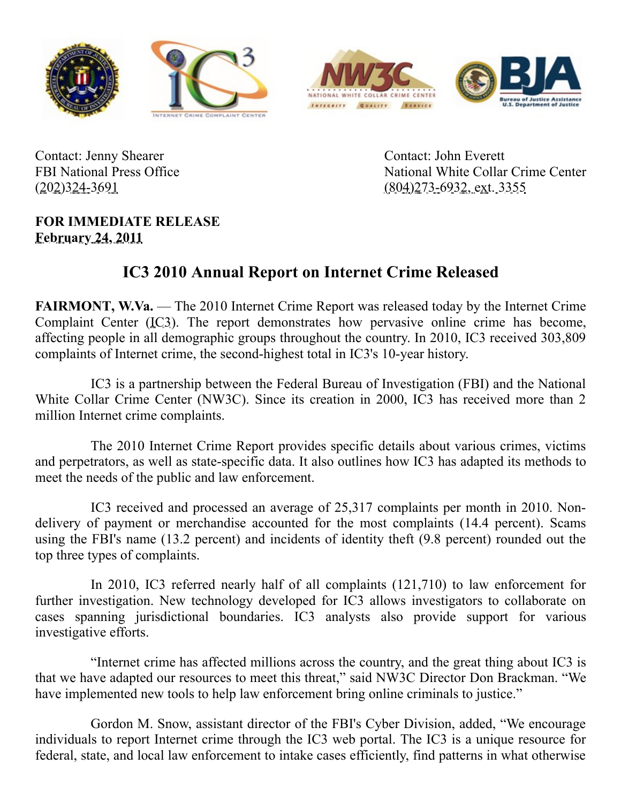







Contact: Jenny Shearer FBI National Press Office (202)324-3691

Contact: John Everett National White Collar Crime Center (804)273-6932, ext. 3355

## **FOR IMMEDIATE RELEASE February 24, 2011**

## **IC3 2010 Annual Report on Internet Crime Released**

**FAIRMONT, W.Va.** — The 2010 Internet Crime Report was released today by the Internet Crime Complaint Center (IC3). The report demonstrates how pervasive online crime has become, affecting people in all demographic groups throughout the country. In 2010, IC3 received 303,809 complaints of Internet crime, the second-highest total in IC3's 10-year history.

IC3 is a partnership between the Federal Bureau of Investigation (FBI) and the National White Collar Crime Center (NW3C). Since its creation in 2000, IC3 has received more than 2 million Internet crime complaints.

The 2010 Internet Crime Report provides specific details about various crimes, victims and perpetrators, as well as state-specific data. It also outlines how IC3 has adapted its methods to meet the needs of the public and law enforcement.

IC3 received and processed an average of 25,317 complaints per month in 2010. Nondelivery of payment or merchandise accounted for the most complaints (14.4 percent). Scams using the FBI's name (13.2 percent) and incidents of identity theft (9.8 percent) rounded out the top three types of complaints.

In 2010, IC3 referred nearly half of all complaints (121,710) to law enforcement for further investigation. New technology developed for IC3 allows investigators to collaborate on cases spanning jurisdictional boundaries. IC3 analysts also provide support for various investigative efforts.

"Internet crime has affected millions across the country, and the great thing about IC3 is that we have adapted our resources to meet this threat," said NW3C Director Don Brackman. "We have implemented new tools to help law enforcement bring online criminals to justice."

Gordon M. Snow, assistant director of the FBI's Cyber Division, added, "We encourage individuals to report Internet crime through the IC3 web portal. The IC3 is a unique resource for federal, state, and local law enforcement to intake cases efficiently, find patterns in what otherwise